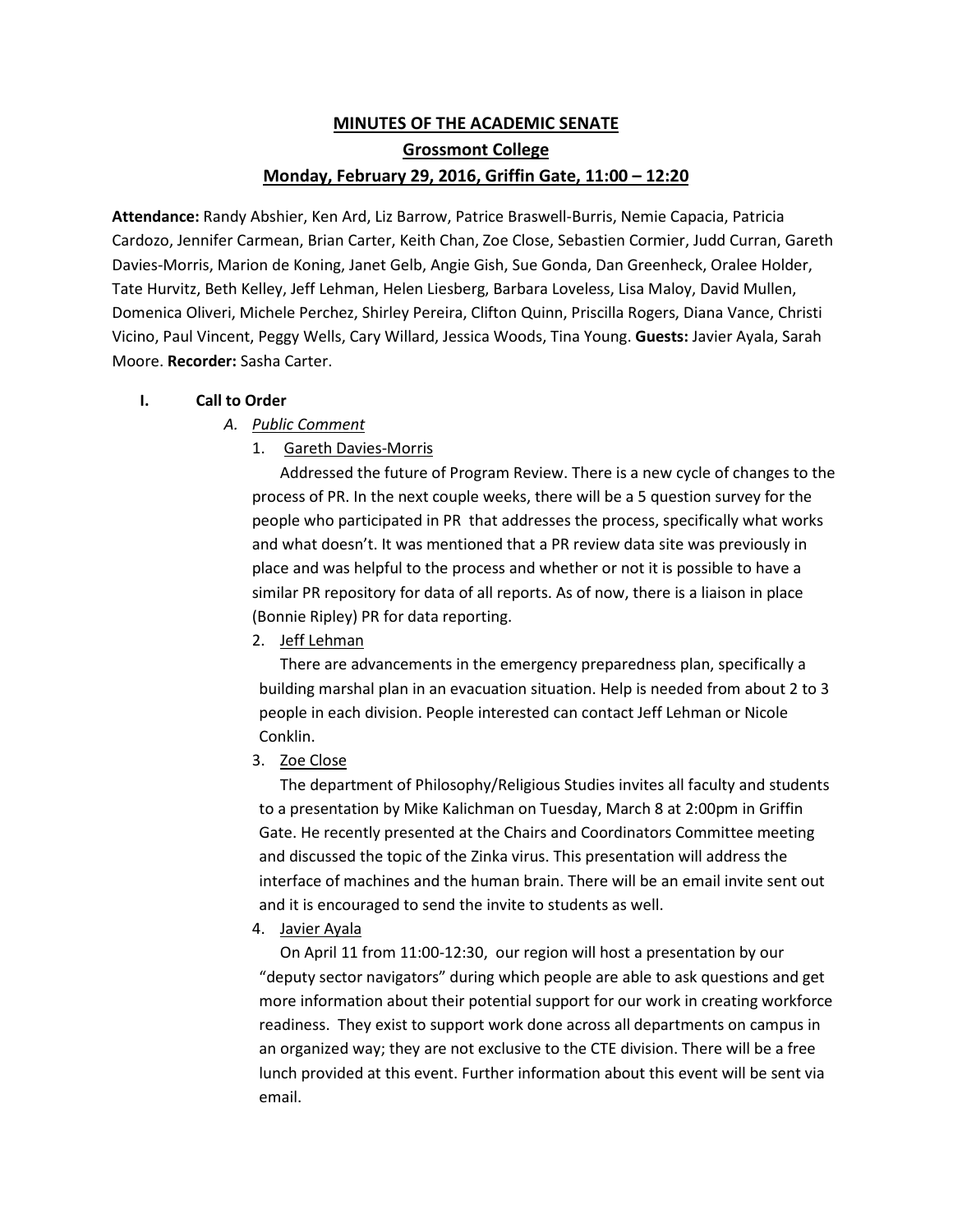# **MINUTES OF THE ACADEMIC SENATE Grossmont College Monday, February 29, 2016, Griffin Gate, 11:00 – 12:20**

**Attendance:** Randy Abshier, Ken Ard, Liz Barrow, Patrice Braswell-Burris, Nemie Capacia, Patricia Cardozo, Jennifer Carmean, Brian Carter, Keith Chan, Zoe Close, Sebastien Cormier, Judd Curran, Gareth Davies-Morris, Marion de Koning, Janet Gelb, Angie Gish, Sue Gonda, Dan Greenheck, Oralee Holder, Tate Hurvitz, Beth Kelley, Jeff Lehman, Helen Liesberg, Barbara Loveless, Lisa Maloy, David Mullen, Domenica Oliveri, Michele Perchez, Shirley Pereira, Clifton Quinn, Priscilla Rogers, Diana Vance, Christi Vicino, Paul Vincent, Peggy Wells, Cary Willard, Jessica Woods, Tina Young. **Guests:** Javier Ayala, Sarah Moore. **Recorder:** Sasha Carter.

### **I. Call to Order**

- *A. Public Comment* 
	- 1. Gareth Davies-Morris

Addressed the future of Program Review. There is a new cycle of changes to the process of PR. In the next couple weeks, there will be a 5 question survey for the people who participated in PR that addresses the process, specifically what works and what doesn't. It was mentioned that a PR review data site was previously in place and was helpful to the process and whether or not it is possible to have a similar PR repository for data of all reports. As of now, there is a liaison in place (Bonnie Ripley) PR for data reporting.

2. Jeff Lehman

There are advancements in the emergency preparedness plan, specifically a building marshal plan in an evacuation situation. Help is needed from about 2 to 3 people in each division. People interested can contact Jeff Lehman or Nicole Conklin.

3. Zoe Close

The department of Philosophy/Religious Studies invites all faculty and students to a presentation by Mike Kalichman on Tuesday, March 8 at 2:00pm in Griffin Gate. He recently presented at the Chairs and Coordinators Committee meeting and discussed the topic of the Zinka virus. This presentation will address the interface of machines and the human brain. There will be an email invite sent out and it is encouraged to send the invite to students as well.

4. Javier Ayala

On April 11 from 11:00-12:30, our region will host a presentation by our "deputy sector navigators" during which people are able to ask questions and get more information about their potential support for our work in creating workforce readiness. They exist to support work done across all departments on campus in an organized way; they are not exclusive to the CTE division. There will be a free lunch provided at this event. Further information about this event will be sent via email.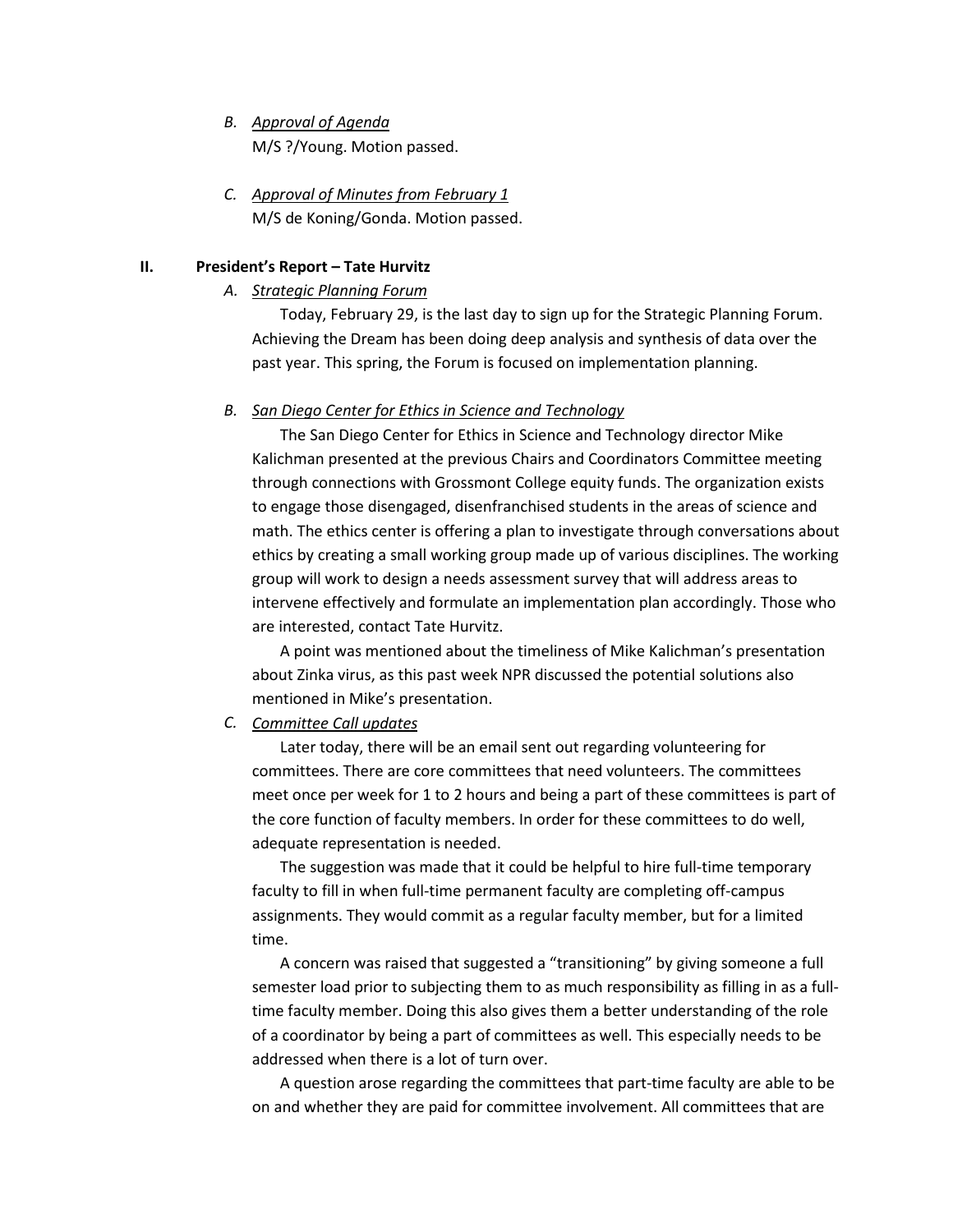## *B. Approval of Agenda* M/S ?/Young. Motion passed.

*C. Approval of Minutes from February 1* M/S de Koning/Gonda. Motion passed.

## **II. President's Report – Tate Hurvitz**

## *A. Strategic Planning Forum*

Today, February 29, is the last day to sign up for the Strategic Planning Forum. Achieving the Dream has been doing deep analysis and synthesis of data over the past year. This spring, the Forum is focused on implementation planning.

## *B. San Diego Center for Ethics in Science and Technology*

The San Diego Center for Ethics in Science and Technology director Mike Kalichman presented at the previous Chairs and Coordinators Committee meeting through connections with Grossmont College equity funds. The organization exists to engage those disengaged, disenfranchised students in the areas of science and math. The ethics center is offering a plan to investigate through conversations about ethics by creating a small working group made up of various disciplines. The working group will work to design a needs assessment survey that will address areas to intervene effectively and formulate an implementation plan accordingly. Those who are interested, contact Tate Hurvitz.

A point was mentioned about the timeliness of Mike Kalichman's presentation about Zinka virus, as this past week NPR discussed the potential solutions also mentioned in Mike's presentation.

# *C. Committee Call updates*

Later today, there will be an email sent out regarding volunteering for committees. There are core committees that need volunteers. The committees meet once per week for 1 to 2 hours and being a part of these committees is part of the core function of faculty members. In order for these committees to do well, adequate representation is needed.

The suggestion was made that it could be helpful to hire full-time temporary faculty to fill in when full-time permanent faculty are completing off-campus assignments. They would commit as a regular faculty member, but for a limited time.

A concern was raised that suggested a "transitioning" by giving someone a full semester load prior to subjecting them to as much responsibility as filling in as a fulltime faculty member. Doing this also gives them a better understanding of the role of a coordinator by being a part of committees as well. This especially needs to be addressed when there is a lot of turn over.

A question arose regarding the committees that part-time faculty are able to be on and whether they are paid for committee involvement. All committees that are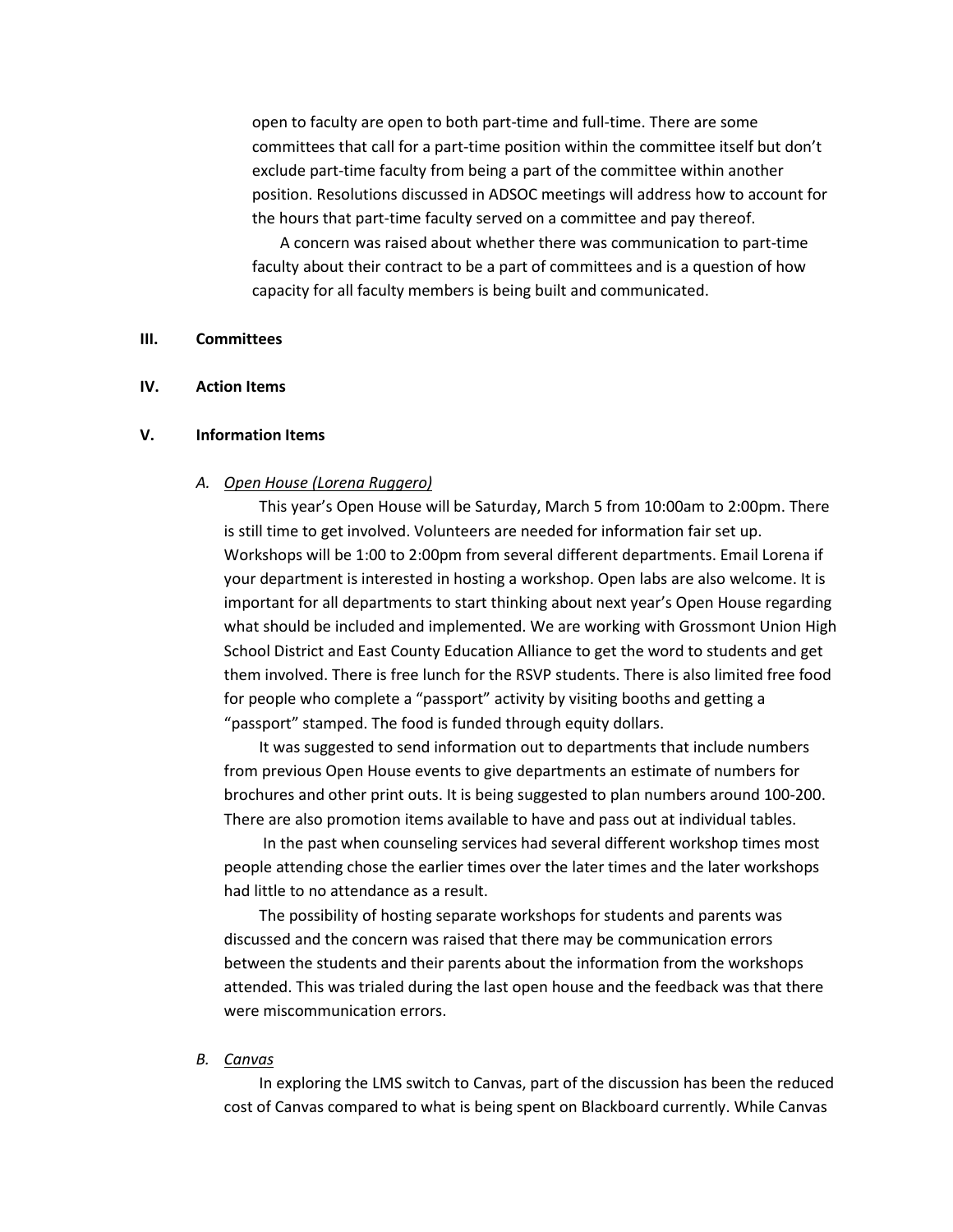open to faculty are open to both part-time and full-time. There are some committees that call for a part-time position within the committee itself but don't exclude part-time faculty from being a part of the committee within another position. Resolutions discussed in ADSOC meetings will address how to account for the hours that part-time faculty served on a committee and pay thereof.

A concern was raised about whether there was communication to part-time faculty about their contract to be a part of committees and is a question of how capacity for all faculty members is being built and communicated.

### **III. Committees**

#### **IV. Action Items**

#### **V. Information Items**

#### *A. Open House (Lorena Ruggero)*

This year's Open House will be Saturday, March 5 from 10:00am to 2:00pm. There is still time to get involved. Volunteers are needed for information fair set up. Workshops will be 1:00 to 2:00pm from several different departments. Email Lorena if your department is interested in hosting a workshop. Open labs are also welcome. It is important for all departments to start thinking about next year's Open House regarding what should be included and implemented. We are working with Grossmont Union High School District and East County Education Alliance to get the word to students and get them involved. There is free lunch for the RSVP students. There is also limited free food for people who complete a "passport" activity by visiting booths and getting a "passport" stamped. The food is funded through equity dollars.

It was suggested to send information out to departments that include numbers from previous Open House events to give departments an estimate of numbers for brochures and other print outs. It is being suggested to plan numbers around 100-200. There are also promotion items available to have and pass out at individual tables.

In the past when counseling services had several different workshop times most people attending chose the earlier times over the later times and the later workshops had little to no attendance as a result.

The possibility of hosting separate workshops for students and parents was discussed and the concern was raised that there may be communication errors between the students and their parents about the information from the workshops attended. This was trialed during the last open house and the feedback was that there were miscommunication errors.

#### *B. Canvas*

In exploring the LMS switch to Canvas, part of the discussion has been the reduced cost of Canvas compared to what is being spent on Blackboard currently. While Canvas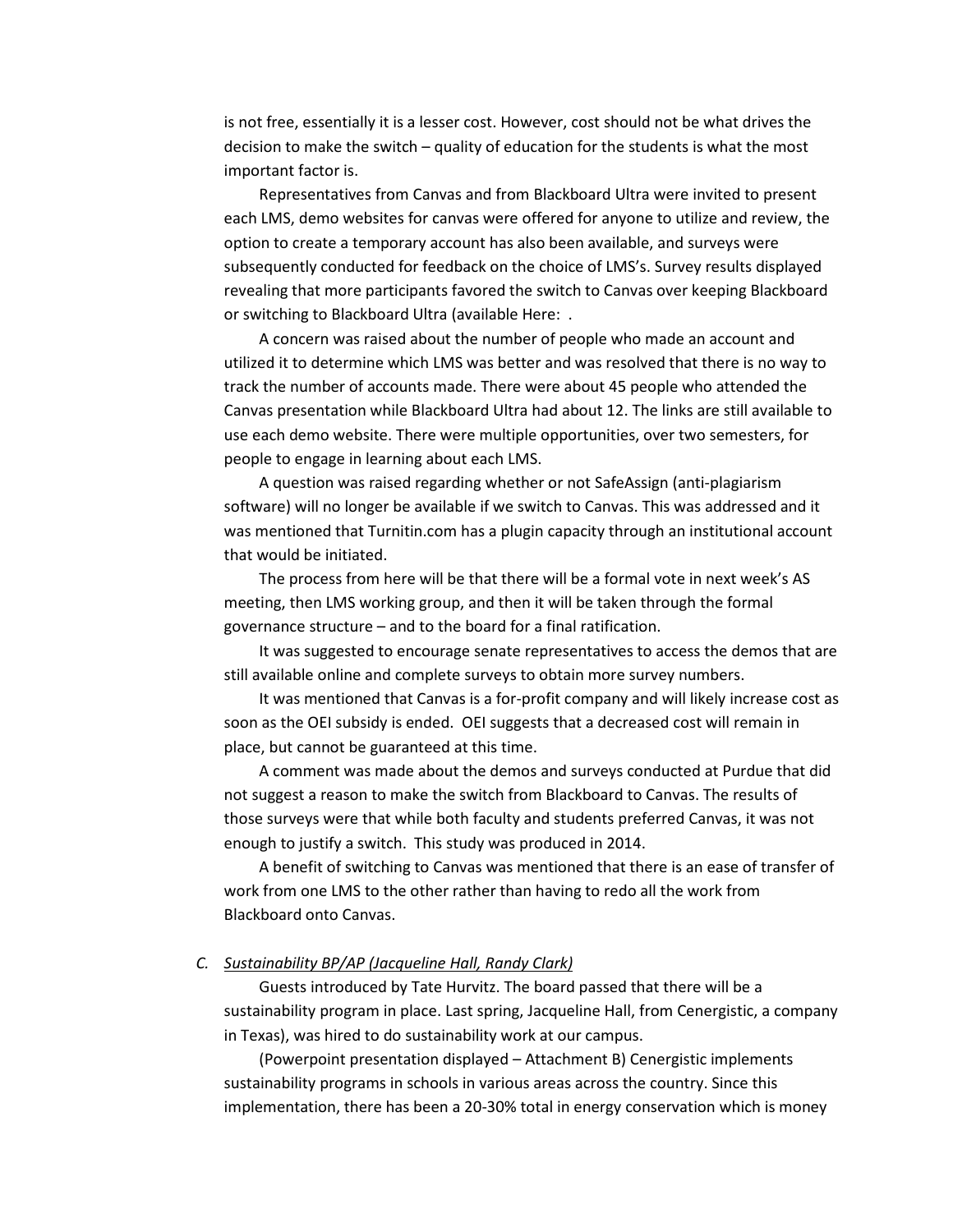is not free, essentially it is a lesser cost. However, cost should not be what drives the decision to make the switch – quality of education for the students is what the most important factor is.

Representatives from Canvas and from Blackboard Ultra were invited to present each LMS, demo websites for canvas were offered for anyone to utilize and review, the option to create a temporary account has also been available, and surveys were subsequently conducted for feedback on the choice of LMS's. Survey results displayed revealing that more participants favored the switch to Canvas over keeping Blackboard or switching to Blackboard Ultra (available Here: .

A concern was raised about the number of people who made an account and utilized it to determine which LMS was better and was resolved that there is no way to track the number of accounts made. There were about 45 people who attended the Canvas presentation while Blackboard Ultra had about 12. The links are still available to use each demo website. There were multiple opportunities, over two semesters, for people to engage in learning about each LMS.

A question was raised regarding whether or not SafeAssign (anti-plagiarism software) will no longer be available if we switch to Canvas. This was addressed and it was mentioned that Turnitin.com has a plugin capacity through an institutional account that would be initiated.

The process from here will be that there will be a formal vote in next week's AS meeting, then LMS working group, and then it will be taken through the formal governance structure – and to the board for a final ratification.

It was suggested to encourage senate representatives to access the demos that are still available online and complete surveys to obtain more survey numbers.

It was mentioned that Canvas is a for-profit company and will likely increase cost as soon as the OEI subsidy is ended. OEI suggests that a decreased cost will remain in place, but cannot be guaranteed at this time.

A comment was made about the demos and surveys conducted at Purdue that did not suggest a reason to make the switch from Blackboard to Canvas. The results of those surveys were that while both faculty and students preferred Canvas, it was not enough to justify a switch. This study was produced in 2014.

A benefit of switching to Canvas was mentioned that there is an ease of transfer of work from one LMS to the other rather than having to redo all the work from Blackboard onto Canvas.

### *C. Sustainability BP/AP (Jacqueline Hall, Randy Clark)*

Guests introduced by Tate Hurvitz. The board passed that there will be a sustainability program in place. Last spring, Jacqueline Hall, from Cenergistic, a company in Texas), was hired to do sustainability work at our campus.

(Powerpoint presentation displayed – Attachment B) Cenergistic implements sustainability programs in schools in various areas across the country. Since this implementation, there has been a 20-30% total in energy conservation which is money